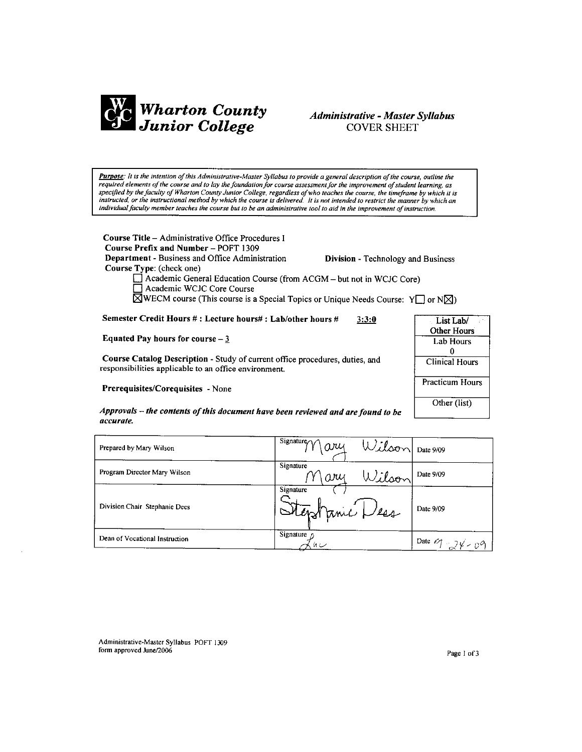

# **Administrative - Master Syllabus COVER SHEET**

Purpose: It is the intention of this Administrative-Master Syllabus to provide a general description of the course, outline the required elements of the course and to lay the foundation for course assessment for the improvement of student learning, as specified by the faculty of Wharton County Junior College, regardless of who teaches the course, the timeframe by which it is instructed, or the instructional method by which the course is delivered. It is not intended to restrict the manner by which an individual faculty member teaches the course but to be an administrative tool to aid in the improvement of instruction.

Course Title - Administrative Office Procedures I Course Prefix and Number - POFT 1309 Department - Business and Office Administration Course Type: (check one)

**Division - Technology and Business** 

Academic General Education Course (from ACGM - but not in WCJC Core) Academic WCJC Core Course  $\boxtimes$ WECM course (This course is a Special Topics or Unique Needs Course: Y or N $\boxtimes$ )

Semester Credit Hours #: Lecture hours#: Lab/other hours #  $3:3:0$ 

Equated Pay hours for course  $-\frac{3}{5}$ 

Course Catalog Description - Study of current office procedures, duties, and responsibilities applicable to an office environment.

Prerequisites/Corequisites - None

| List Lab/              |
|------------------------|
| <b>Other Hours</b>     |
| Lab Hours              |
| 0                      |
| <b>Clinical Hours</b>  |
| <b>Practicum Hours</b> |
| Other (list)           |

Approvals – the contents of this document have been reviewed and are found to be accurate.

| Prepared by Mary Wilson        | Signature $\gamma$<br>$\alpha$ | Wilson Date 9/09                                       |
|--------------------------------|--------------------------------|--------------------------------------------------------|
| Program Director Mary Wilson   | Signature<br>Wilson<br>ary     | Date 9/09                                              |
| Division Chair Stephanie Dees  | Signature<br>Stephanic Dess    | Date 9/09                                              |
| Dean of Vocational Instruction | Signature $\alpha$<br>س انا    | Date $\mathscr{O}_1$ - $\mathscr{A}$ - $\mathscr{O}_1$ |

Administrative-Master Syllabus POFT 1309 form approved June/2006

Page 1 of 3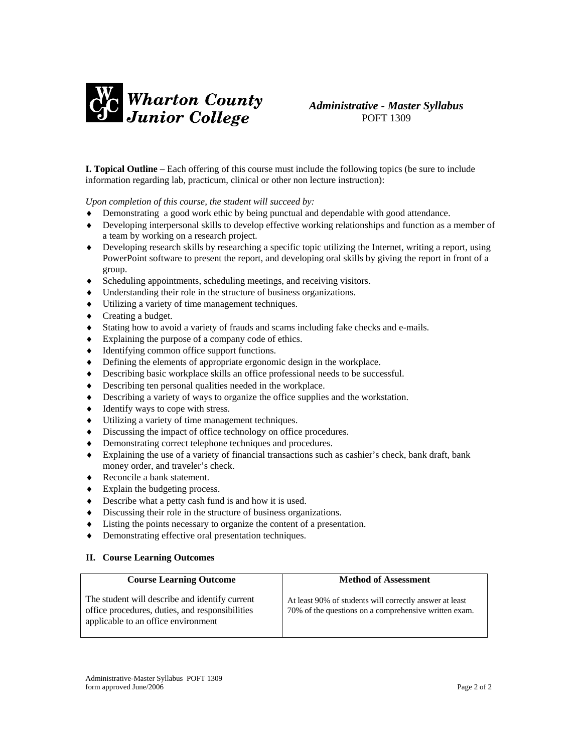

# *Administrative - Master Syllabus*  POFT 1309

**I. Topical Outline** – Each offering of this course must include the following topics (be sure to include information regarding lab, practicum, clinical or other non lecture instruction):

*Upon completion of this course, the student will succeed by:* 

- Demonstrating a good work ethic by being punctual and dependable with good attendance.
- ♦ Developing interpersonal skills to develop effective working relationships and function as a member of a team by working on a research project.
- ♦ Developing research skills by researching a specific topic utilizing the Internet, writing a report, using PowerPoint software to present the report, and developing oral skills by giving the report in front of a group.
- ♦ Scheduling appointments, scheduling meetings, and receiving visitors.
- ♦ Understanding their role in the structure of business organizations.
- ♦ Utilizing a variety of time management techniques.
- ♦ Creating a budget.
- ♦ Stating how to avoid a variety of frauds and scams including fake checks and e-mails.
- ♦ Explaining the purpose of a company code of ethics.
- ♦ Identifying common office support functions.
- ♦ Defining the elements of appropriate ergonomic design in the workplace.
- ♦ Describing basic workplace skills an office professional needs to be successful.
- Describing ten personal qualities needed in the workplace.
- ♦ Describing a variety of ways to organize the office supplies and the workstation.
- ♦ Identify ways to cope with stress.
- ♦ Utilizing a variety of time management techniques.
- ♦ Discussing the impact of office technology on office procedures.
- ♦ Demonstrating correct telephone techniques and procedures.
- ♦ Explaining the use of a variety of financial transactions such as cashier's check, bank draft, bank money order, and traveler's check.
- ♦ Reconcile a bank statement.
- ♦ Explain the budgeting process.
- ♦ Describe what a petty cash fund is and how it is used.
- ♦ Discussing their role in the structure of business organizations.
- ♦ Listing the points necessary to organize the content of a presentation.
- ♦ Demonstrating effective oral presentation techniques.

## **II. Course Learning Outcomes**

| <b>Course Learning Outcome</b>                                                                                                           | <b>Method of Assessment</b>                                                                                      |
|------------------------------------------------------------------------------------------------------------------------------------------|------------------------------------------------------------------------------------------------------------------|
| The student will describe and identify current<br>office procedures, duties, and responsibilities<br>applicable to an office environment | At least 90% of students will correctly answer at least<br>70% of the questions on a comprehensive written exam. |